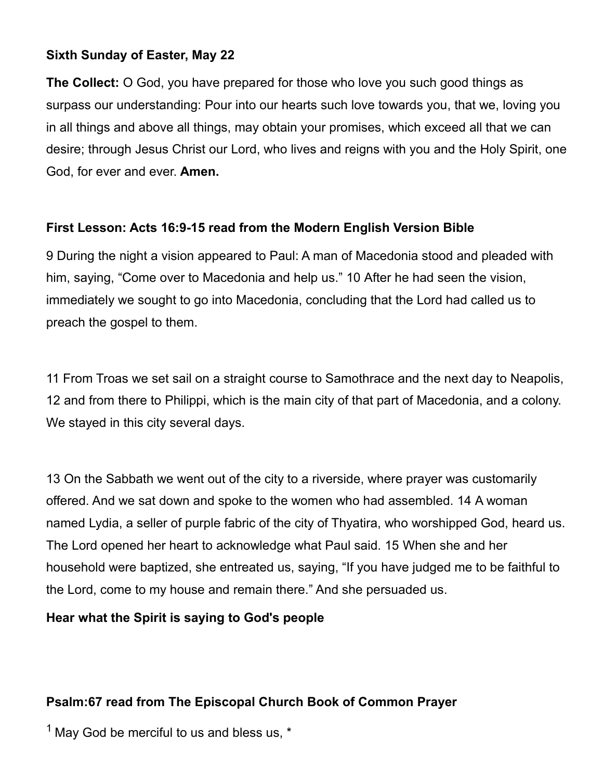### **Sixth Sunday of Easter, May 22**

**The Collect:** O God, you have prepared for those who love you such good things as surpass our understanding: Pour into our hearts such love towards you, that we, loving you in all things and above all things, may obtain your promises, which exceed all that we can desire; through Jesus Christ our Lord, who lives and reigns with you and the Holy Spirit, one God, for ever and ever. **Amen.**

### **First Lesson: Acts 16:9-15 read from the Modern English Version Bible**

9 During the night a vision appeared to Paul: A man of Macedonia stood and pleaded with him, saying, "Come over to Macedonia and help us." 10 After he had seen the vision, immediately we sought to go into Macedonia, concluding that the Lord had called us to preach the gospel to them.

11 From Troas we set sail on a straight course to Samothrace and the next day to Neapolis, 12 and from there to Philippi, which is the main city of that part of Macedonia, and a colony. We stayed in this city several days.

13 On the Sabbath we went out of the city to a riverside, where prayer was customarily offered. And we sat down and spoke to the women who had assembled. 14 A woman named Lydia, a seller of purple fabric of the city of Thyatira, who worshipped God, heard us. The Lord opened her heart to acknowledge what Paul said. 15 When she and her household were baptized, she entreated us, saying, "If you have judged me to be faithful to the Lord, come to my house and remain there." And she persuaded us.

### **Hear what the Spirit is saying to God's people**

### **Psalm:67 read from The Episcopal Church Book of Common Prayer**

 $1$  May God be merciful to us and bless us,  $*$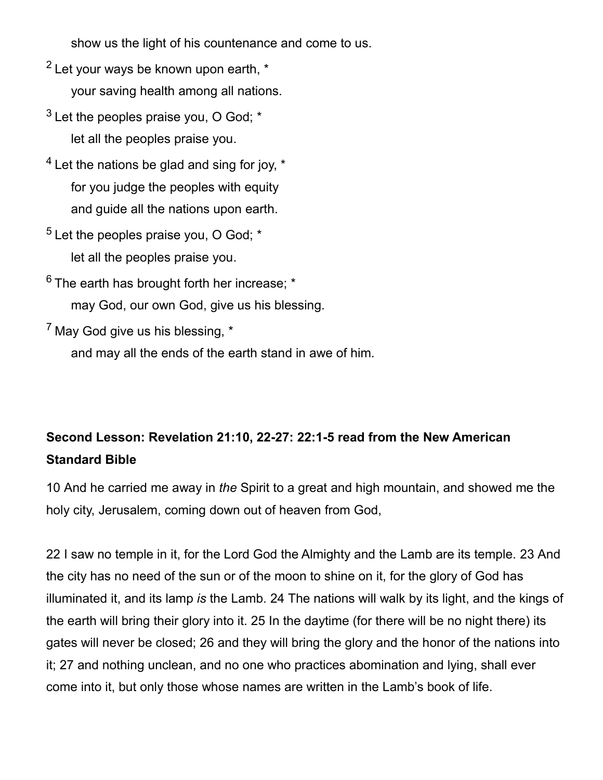show us the light of his countenance and come to us.

- $2$  Let your ways be known upon earth,  $*$ your saving health among all nations.
- $3$  Let the peoples praise you, O God:  $*$ let all the peoples praise you.
- $<sup>4</sup>$  Let the nations be glad and sing for joy,  $*$ </sup> for you judge the peoples with equity and guide all the nations upon earth.
- $5$  Let the peoples praise you, O God;  $*$ let all the peoples praise you.
- $6$  The earth has brought forth her increase:  $*$ may God, our own God, give us his blessing.
- $<sup>7</sup>$  May God give us his blessing.  $*$ </sup>

and may all the ends of the earth stand in awe of him.

# **Second Lesson: Revelation 21:10, 22-27: 22:1-5 read from the New American Standard Bible**

10 And he carried me away in *the* Spirit to a great and high mountain, and showed me the holy city, Jerusalem, coming down out of heaven from God,

22 I saw no temple in it, for the Lord God the Almighty and the Lamb are its temple. 23 And the city has no need of the sun or of the moon to shine on it, for the glory of God has illuminated it, and its lamp *is* the Lamb. 24 The nations will walk by its light, and the kings of the earth will bring their glory into it. 25 In the daytime (for there will be no night there) its gates will never be closed; 26 and they will bring the glory and the honor of the nations into it; 27 and nothing unclean, and no one who practices abomination and lying, shall ever come into it, but only those whose names are written in the Lamb's book of life.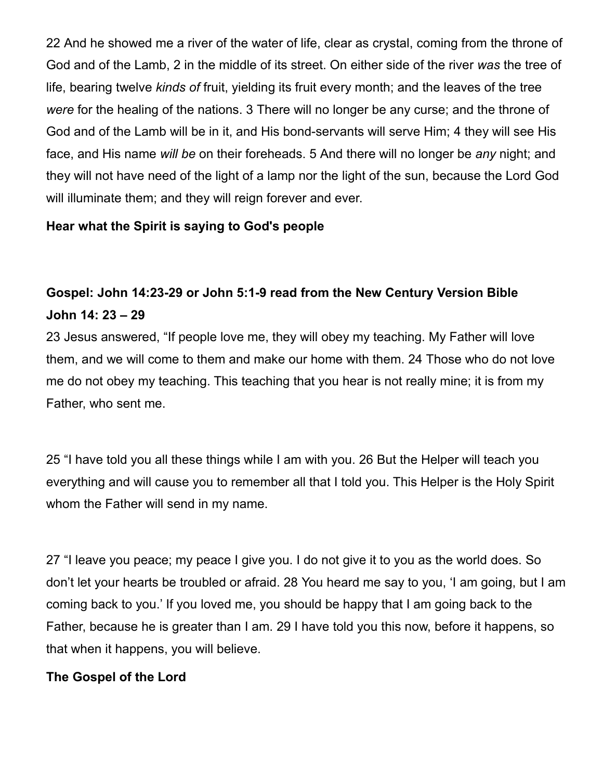22 And he showed me a river of the water of life, clear as crystal, coming from the throne of God and of the Lamb, 2 in the middle of its street. On either side of the river *was* the tree of life, bearing twelve *kinds of* fruit, yielding its fruit every month; and the leaves of the tree *were* for the healing of the nations. 3 There will no longer be any curse; and the throne of God and of the Lamb will be in it, and His bond-servants will serve Him; 4 they will see His face, and His name *will be* on their foreheads. 5 And there will no longer be *any* night; and they will not have need of the light of a lamp nor the light of the sun, because the Lord God will illuminate them; and they will reign forever and ever.

### **Hear what the Spirit is saying to God's people**

## **Gospel: John 14:23-29 or John 5:1-9 read from the New Century Version Bible John 14: 23 – 29**

23 Jesus answered, "If people love me, they will obey my teaching. My Father will love them, and we will come to them and make our home with them. 24 Those who do not love me do not obey my teaching. This teaching that you hear is not really mine; it is from my Father, who sent me.

25 "I have told you all these things while I am with you. 26 But the Helper will teach you everything and will cause you to remember all that I told you. This Helper is the Holy Spirit whom the Father will send in my name.

27 "I leave you peace; my peace I give you. I do not give it to you as the world does. So don't let your hearts be troubled or afraid. 28 You heard me say to you, 'I am going, but I am coming back to you.' If you loved me, you should be happy that I am going back to the Father, because he is greater than I am. 29 I have told you this now, before it happens, so that when it happens, you will believe.

### **The Gospel of the Lord**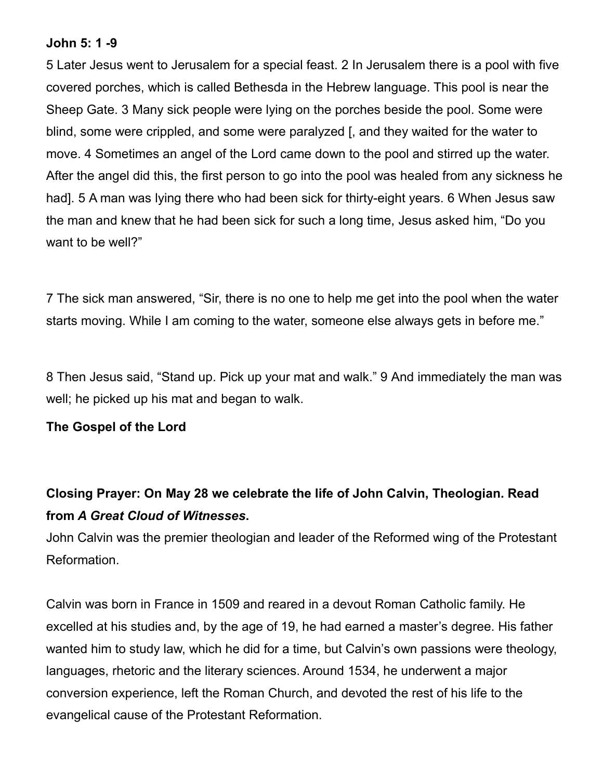#### **John 5: 1 -9**

5 Later Jesus went to Jerusalem for a special feast. 2 In Jerusalem there is a pool with five covered porches, which is called Bethesda in the Hebrew language. This pool is near the Sheep Gate. 3 Many sick people were lying on the porches beside the pool. Some were blind, some were crippled, and some were paralyzed [, and they waited for the water to move. 4 Sometimes an angel of the Lord came down to the pool and stirred up the water. After the angel did this, the first person to go into the pool was healed from any sickness he had]. 5 A man was lying there who had been sick for thirty-eight years. 6 When Jesus saw the man and knew that he had been sick for such a long time, Jesus asked him, "Do you want to be well?"

7 The sick man answered, "Sir, there is no one to help me get into the pool when the water starts moving. While I am coming to the water, someone else always gets in before me."

8 Then Jesus said, "Stand up. Pick up your mat and walk." 9 And immediately the man was well; he picked up his mat and began to walk.

### **The Gospel of the Lord**

## **Closing Prayer: On May 28 we celebrate the life of John Calvin, Theologian. Read from** *A Great Cloud of Witnesses***.**

John Calvin was the premier theologian and leader of the Reformed wing of the Protestant Reformation.

Calvin was born in France in 1509 and reared in a devout Roman Catholic family. He excelled at his studies and, by the age of 19, he had earned a master's degree. His father wanted him to study law, which he did for a time, but Calvin's own passions were theology, languages, rhetoric and the literary sciences. Around 1534, he underwent a major conversion experience, left the Roman Church, and devoted the rest of his life to the evangelical cause of the Protestant Reformation.